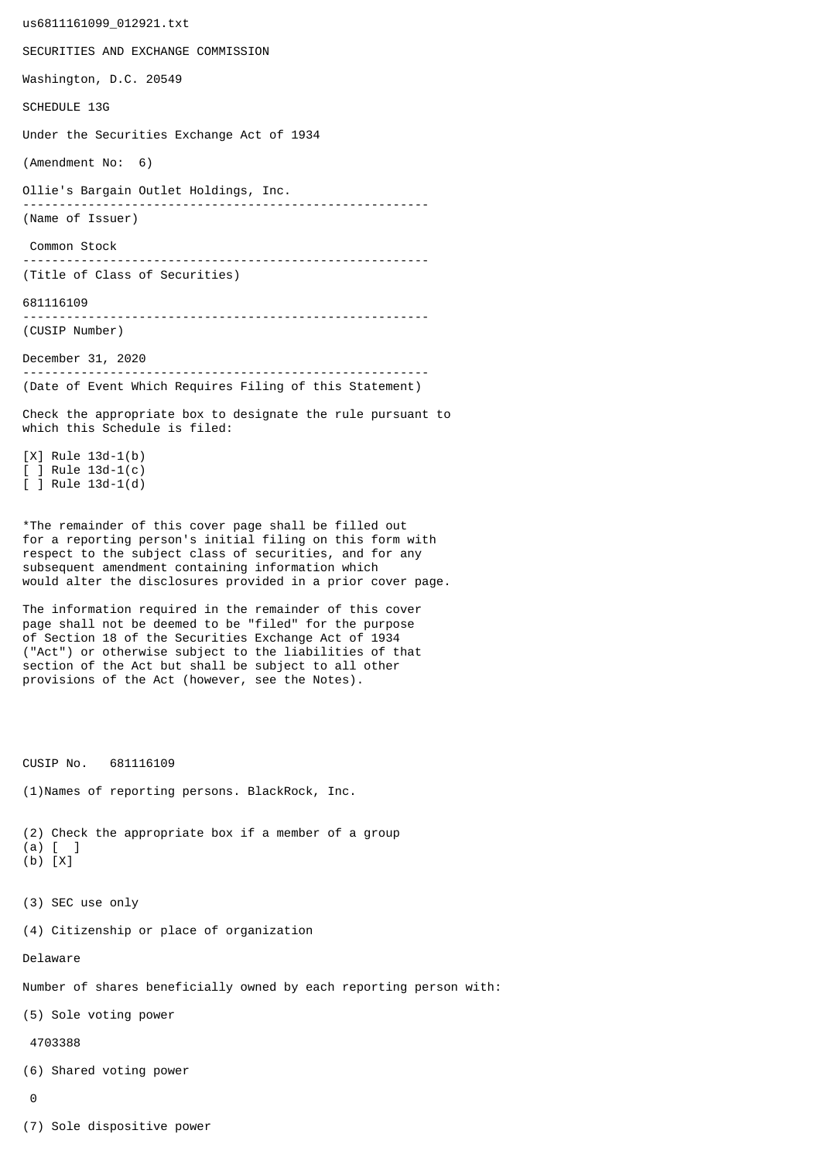us6811161099\_012921.txt SECURITIES AND EXCHANGE COMMISSION Washington, D.C. 20549 SCHEDULE 13G Under the Securities Exchange Act of 1934 (Amendment No: 6) Ollie's Bargain Outlet Holdings, Inc. -------------------------------------------------------- (Name of Issuer) Common Stock -------------------------------------------------------- (Title of Class of Securities) 681116109 -------------------------------------------------------- (CUSIP Number) December 31, 2020 -------------------------------------------------------- (Date of Event Which Requires Filing of this Statement) Check the appropriate box to designate the rule pursuant to which this Schedule is filed: [X] Rule 13d-1(b) [ ] Rule 13d-1(c) [ ] Rule 13d-1(d) \*The remainder of this cover page shall be filled out for a reporting person's initial filing on this form with respect to the subject class of securities, and for any subsequent amendment containing information which would alter the disclosures provided in a prior cover page. The information required in the remainder of this cover page shall not be deemed to be "filed" for the purpose of Section 18 of the Securities Exchange Act of 1934 ("Act") or otherwise subject to the liabilities of that section of the Act but shall be subject to all other provisions of the Act (however, see the Notes). CUSIP No. 681116109 (1)Names of reporting persons. BlackRock, Inc. (2) Check the appropriate box if a member of a group (a) [ ] (b) [X] (3) SEC use only (4) Citizenship or place of organization Delaware Number of shares beneficially owned by each reporting person with: (5) Sole voting power 4703388 (6) Shared voting power  $\Omega$ 

(7) Sole dispositive power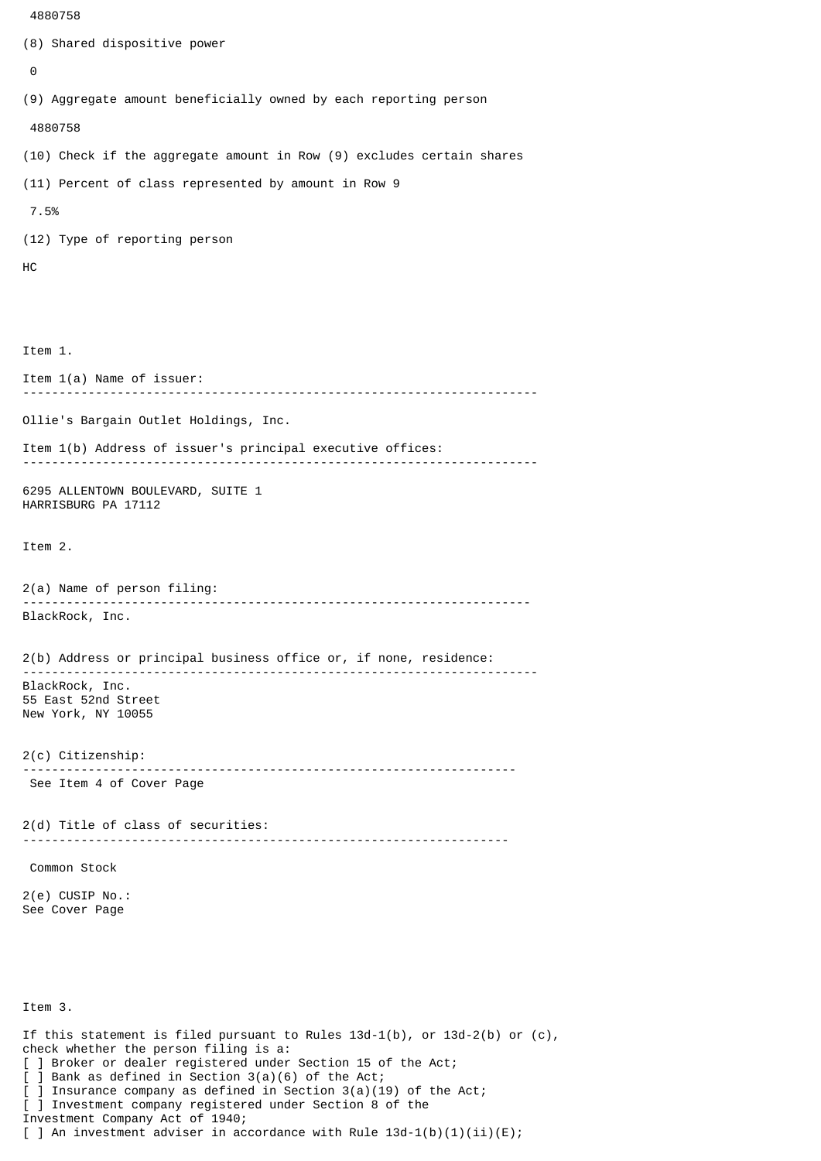```
 4880758
```

```
(8) Shared dispositive power
 \boldsymbol{\Theta}(9) Aggregate amount beneficially owned by each reporting person
  4880758
(10) Check if the aggregate amount in Row (9) excludes certain shares
(11) Percent of class represented by amount in Row 9
  7.5%
(12) Type of reporting person
HC
Item 1.
Item 1(a) Name of issuer:
                                         -----------------------------------------------------------------------
Ollie's Bargain Outlet Holdings, Inc.
Item 1(b) Address of issuer's principal executive offices:
-----------------------------------------------------------------------
6295 ALLENTOWN BOULEVARD, SUITE 1
HARRISBURG PA 17112
Item 2.
2(a) Name of person filing:
               ----------------------------------------------------------------------
BlackRock, Inc.
2(b) Address or principal business office or, if none, residence:
 -----------------------------------------------------------------------
BlackRock, Inc.
55 East 52nd Street
New York, NY 10055
2(c) Citizenship:
                             --------------------------------------------------------------------
 See Item 4 of Cover Page
2(d) Title of class of securities:
                                       -------------------------------------------------------------------
 Common Stock
2(e) CUSIP No.:
See Cover Page
Item 3.
If this statement is filed pursuant to Rules 13d-1(b), or 13d-2(b) or (c),
check whether the person filing is a:
[ ] Broker or dealer registered under Section 15 of the Act;
[ ] Bank as defined in Section 3(a)(6) of the Act;
  ] Insurance company as defined in Section 3(a)(19) of the Act;
[ ] Investment company registered under Section 8 of the
```
[ ] An investment adviser in accordance with Rule  $13d-1(b)(1)(ii)(E)$ ;

Investment Company Act of 1940;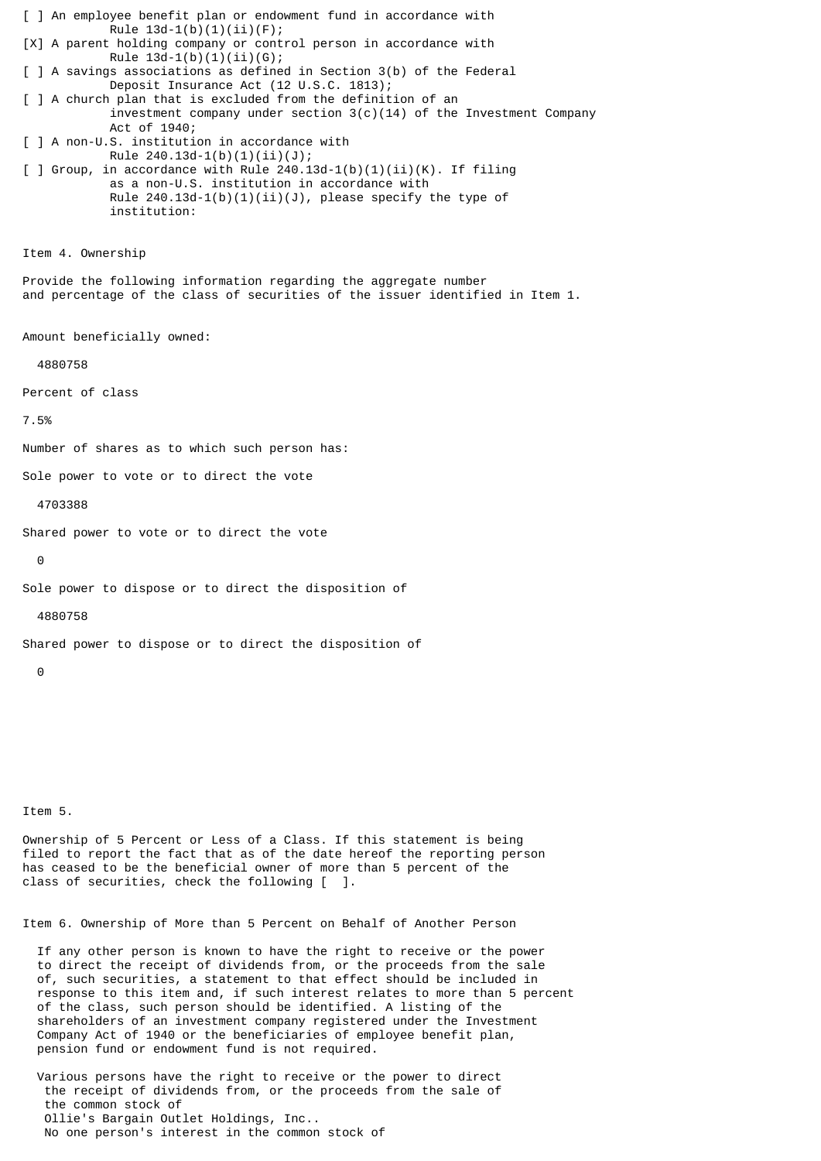[ ] An employee benefit plan or endowment fund in accordance with Rule  $13d-1(b)(1)(ii)(F);$ [X] A parent holding company or control person in accordance with Rule  $13d-1(b)(1)(ii)(G);$ [ ] A savings associations as defined in Section 3(b) of the Federal Deposit Insurance Act (12 U.S.C. 1813); [ ] A church plan that is excluded from the definition of an investment company under section  $3(c)(14)$  of the Investment Company Act of 1940; [ ] A non-U.S. institution in accordance with Rule 240.13d-1(b)(1)(ii)(J);  $\lceil$  ] Group, in accordance with Rule 240.13d-1(b)(1)(ii)(K). If filing as a non-U.S. institution in accordance with Rule  $240.13d-1(b)(1)(ii)(J)$ , please specify the type of institution: Item 4. Ownership Provide the following information regarding the aggregate number and percentage of the class of securities of the issuer identified in Item 1. Amount beneficially owned: 4880758 Percent of class 7.5% Number of shares as to which such person has: Sole power to vote or to direct the vote 4703388 Shared power to vote or to direct the vote  $\Theta$ Sole power to dispose or to direct the disposition of 4880758 Shared power to dispose or to direct the disposition of  $\Omega$ 

Item 5.

Ownership of 5 Percent or Less of a Class. If this statement is being filed to report the fact that as of the date hereof the reporting person has ceased to be the beneficial owner of more than 5 percent of the class of securities, check the following [ ].

Item 6. Ownership of More than 5 Percent on Behalf of Another Person

 If any other person is known to have the right to receive or the power to direct the receipt of dividends from, or the proceeds from the sale of, such securities, a statement to that effect should be included in response to this item and, if such interest relates to more than 5 percent of the class, such person should be identified. A listing of the shareholders of an investment company registered under the Investment Company Act of 1940 or the beneficiaries of employee benefit plan, pension fund or endowment fund is not required.

 Various persons have the right to receive or the power to direct the receipt of dividends from, or the proceeds from the sale of the common stock of Ollie's Bargain Outlet Holdings, Inc.. No one person's interest in the common stock of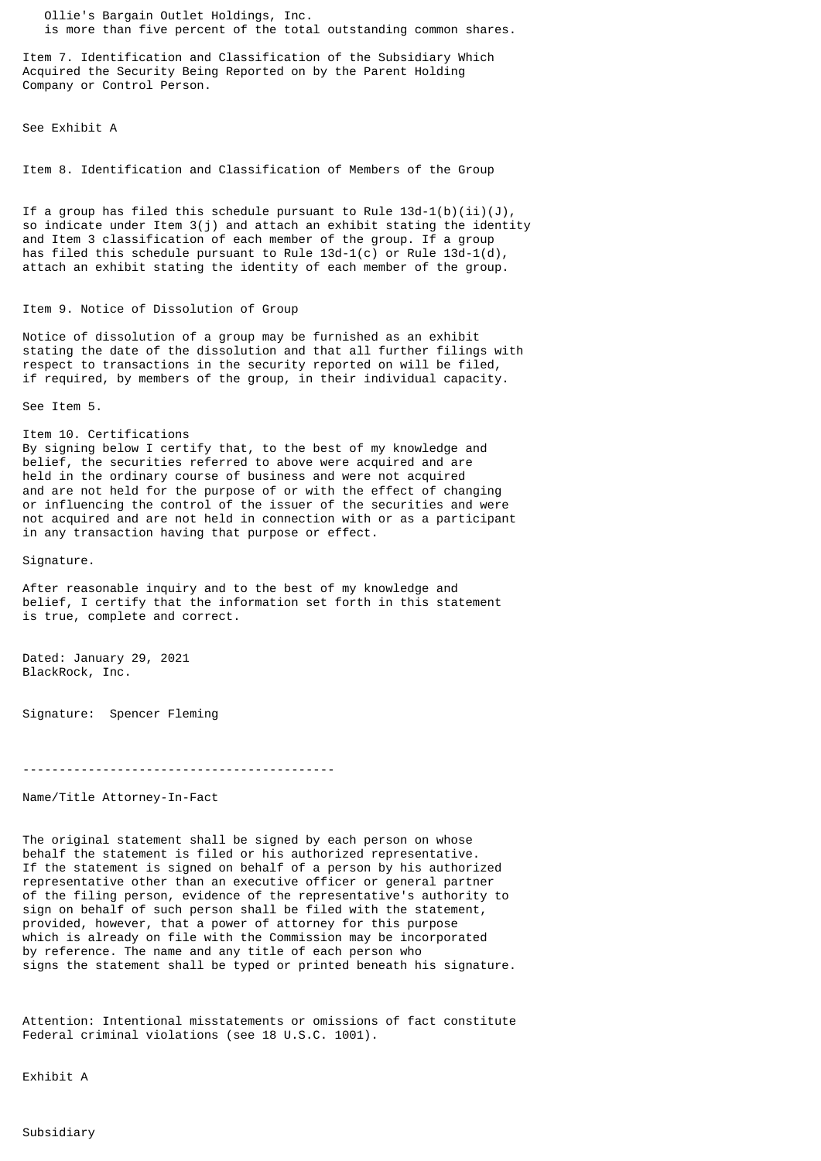Ollie's Bargain Outlet Holdings, Inc. is more than five percent of the total outstanding common shares.

Item 7. Identification and Classification of the Subsidiary Which Acquired the Security Being Reported on by the Parent Holding Company or Control Person.

See Exhibit A

Item 8. Identification and Classification of Members of the Group

If a group has filed this schedule pursuant to Rule  $13d-1(b)(ii)(J)$ , so indicate under Item 3(j) and attach an exhibit stating the identity and Item 3 classification of each member of the group. If a group has filed this schedule pursuant to Rule  $13d-1(c)$  or Rule  $13d-1(d)$ , attach an exhibit stating the identity of each member of the group.

## Item 9. Notice of Dissolution of Group

Notice of dissolution of a group may be furnished as an exhibit stating the date of the dissolution and that all further filings with respect to transactions in the security reported on will be filed, if required, by members of the group, in their individual capacity.

See Item 5.

Item 10. Certifications By signing below I certify that, to the best of my knowledge and belief, the securities referred to above were acquired and are held in the ordinary course of business and were not acquired and are not held for the purpose of or with the effect of changing or influencing the control of the issuer of the securities and were not acquired and are not held in connection with or as a participant in any transaction having that purpose or effect.

Signature.

After reasonable inquiry and to the best of my knowledge and belief, I certify that the information set forth in this statement is true, complete and correct.

Dated: January 29, 2021 BlackRock, Inc.

Signature: Spencer Fleming

-------------------------------------------

Name/Title Attorney-In-Fact

The original statement shall be signed by each person on whose behalf the statement is filed or his authorized representative. If the statement is signed on behalf of a person by his authorized representative other than an executive officer or general partner of the filing person, evidence of the representative's authority to sign on behalf of such person shall be filed with the statement, provided, however, that a power of attorney for this purpose which is already on file with the Commission may be incorporated by reference. The name and any title of each person who signs the statement shall be typed or printed beneath his signature.

Attention: Intentional misstatements or omissions of fact constitute Federal criminal violations (see 18 U.S.C. 1001).

Exhibit A